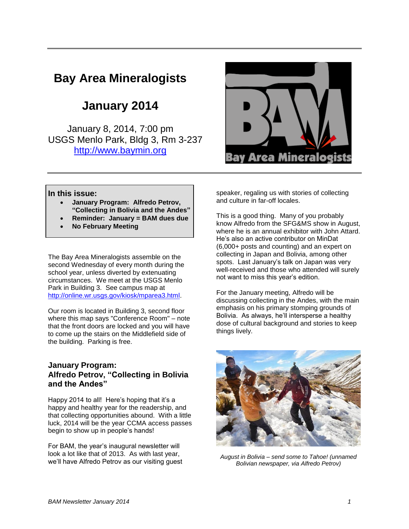# **Bay Area Mineralogists**

# **January 2014**

January 8, 2014, 7:00 pm USGS Menlo Park, Bldg 3, Rm 3-237 [http://www.baymin.org](http://www.baymin.org/)



#### **In this issue:**

- **January Program: Alfredo Petrov, "Collecting in Bolivia and the Andes"**
- **Reminder: January = BAM dues due**
- **No February Meeting**

The Bay Area Mineralogists assemble on the second Wednesday of every month during the school year, unless diverted by extenuating circumstances. We meet at the USGS Menlo Park in Building 3. See campus map at [http://online.wr.usgs.gov/kiosk/mparea3.html.](http://online.wr.usgs.gov/kiosk/mparea3.html)

Our room is located in Building 3, second floor where this map says "Conference Room" – note that the front doors are locked and you will have to come up the stairs on the Middlefield side of the building. Parking is free.

#### **January Program: Alfredo Petrov, "Collecting in Bolivia and the Andes"**

Happy 2014 to all! Here's hoping that it's a happy and healthy year for the readership, and that collecting opportunities abound. With a little luck, 2014 will be the year CCMA access passes begin to show up in people's hands!

For BAM, the year's inaugural newsletter will look a lot like that of 2013. As with last year, we'll have Alfredo Petrov as our visiting guest speaker, regaling us with stories of collecting and culture in far-off locales.

This is a good thing. Many of you probably know Alfredo from the SFG&MS show in August, where he is an annual exhibitor with John Attard. He's also an active contributor on MinDat (6,000+ posts and counting) and an expert on collecting in Japan and Bolivia, among other spots. Last January's talk on Japan was very well-received and those who attended will surely not want to miss this year's edition.

For the January meeting, Alfredo will be discussing collecting in the Andes, with the main emphasis on his primary stomping grounds of Bolivia. As always, he'll intersperse a healthy dose of cultural background and stories to keep things lively.



*August in Bolivia – send some to Tahoe! (unnamed Bolivian newspaper, via Alfredo Petrov)*